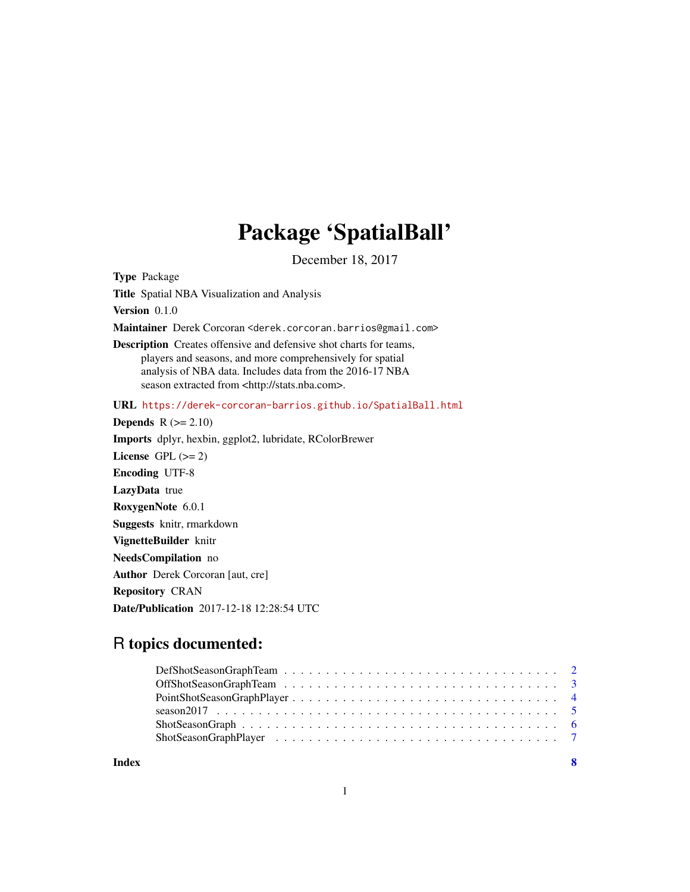## Package 'SpatialBall'

December 18, 2017

Type Package Title Spatial NBA Visualization and Analysis Version 0.1.0 Maintainer Derek Corcoran <derek.corcoran.barrios@gmail.com> Description Creates offensive and defensive shot charts for teams, players and seasons, and more comprehensively for spatial analysis of NBA data. Includes data from the 2016-17 NBA season extracted from <http://stats.nba.com>. URL <https://derek-corcoran-barrios.github.io/SpatialBall.html> Depends  $R (= 2.10)$ Imports dplyr, hexbin, ggplot2, lubridate, RColorBrewer License GPL  $(>= 2)$ Encoding UTF-8 LazyData true RoxygenNote 6.0.1 Suggests knitr, rmarkdown VignetteBuilder knitr NeedsCompilation no Author Derek Corcoran [aut, cre] Repository CRAN Date/Publication 2017-12-18 12:28:54 UTC

### R topics documented:

| Index | - 8 |
|-------|-----|
|       |     |
|       |     |
|       |     |
|       |     |
|       |     |
|       |     |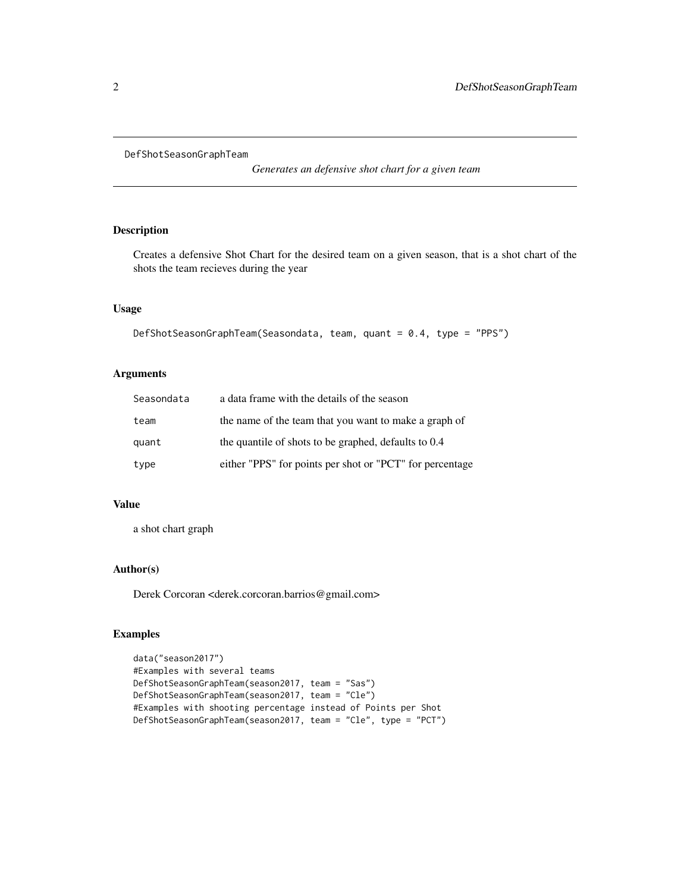<span id="page-1-1"></span><span id="page-1-0"></span>DefShotSeasonGraphTeam

*Generates an defensive shot chart for a given team*

#### Description

Creates a defensive Shot Chart for the desired team on a given season, that is a shot chart of the shots the team recieves during the year

#### Usage

```
DefShotSeasonGraphTeam(Seasondata, team, quant = 0.4, type = "PPS")
```
#### Arguments

| Seasondata | a data frame with the details of the season              |
|------------|----------------------------------------------------------|
| team       | the name of the team that you want to make a graph of    |
| quant      | the quantile of shots to be graphed, defaults to 0.4     |
| type       | either "PPS" for points per shot or "PCT" for percentage |

#### Value

a shot chart graph

#### Author(s)

Derek Corcoran <derek.corcoran.barrios@gmail.com>

```
data("season2017")
#Examples with several teams
DefShotSeasonGraphTeam(season2017, team = "Sas")
DefShotSeasonGraphTeam(season2017, team = "Cle")
#Examples with shooting percentage instead of Points per Shot
DefShotSeasonGraphTeam(season2017, team = "Cle", type = "PCT")
```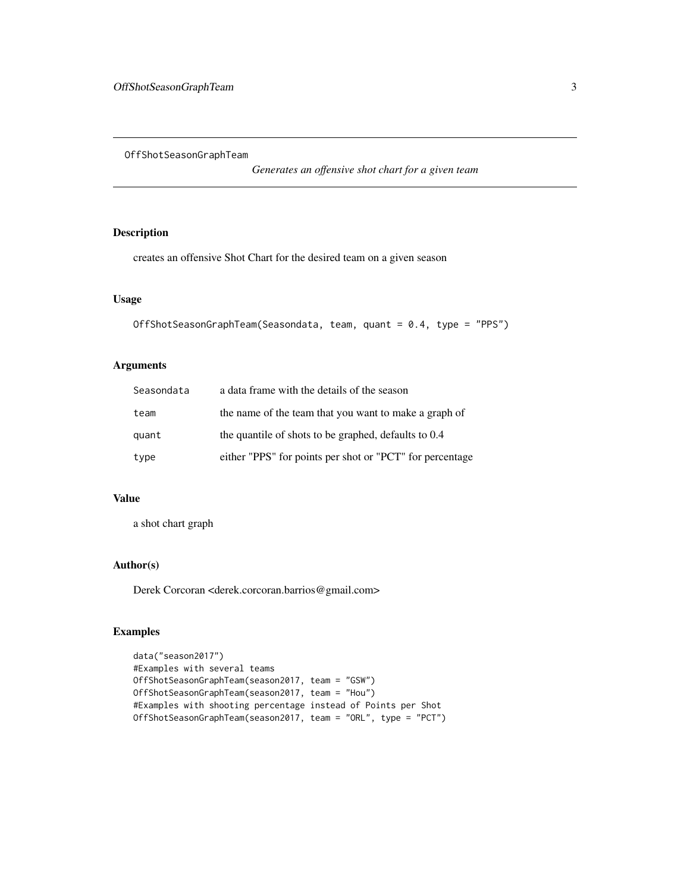<span id="page-2-1"></span><span id="page-2-0"></span>OffShotSeasonGraphTeam

*Generates an offensive shot chart for a given team*

#### Description

creates an offensive Shot Chart for the desired team on a given season

#### Usage

```
OffShotSeasonGraphTeam(Seasondata, team, quant = 0.4, type = "PPS")
```
#### Arguments

| Seasondata | a data frame with the details of the season              |
|------------|----------------------------------------------------------|
| team       | the name of the team that you want to make a graph of    |
| quant      | the quantile of shots to be graphed, defaults to 0.4     |
| type       | either "PPS" for points per shot or "PCT" for percentage |

#### Value

a shot chart graph

#### Author(s)

Derek Corcoran <derek.corcoran.barrios@gmail.com>

```
data("season2017")
#Examples with several teams
OffShotSeasonGraphTeam(season2017, team = "GSW")
OffShotSeasonGraphTeam(season2017, team = "Hou")
#Examples with shooting percentage instead of Points per Shot
OffShotSeasonGraphTeam(season2017, team = "ORL", type = "PCT")
```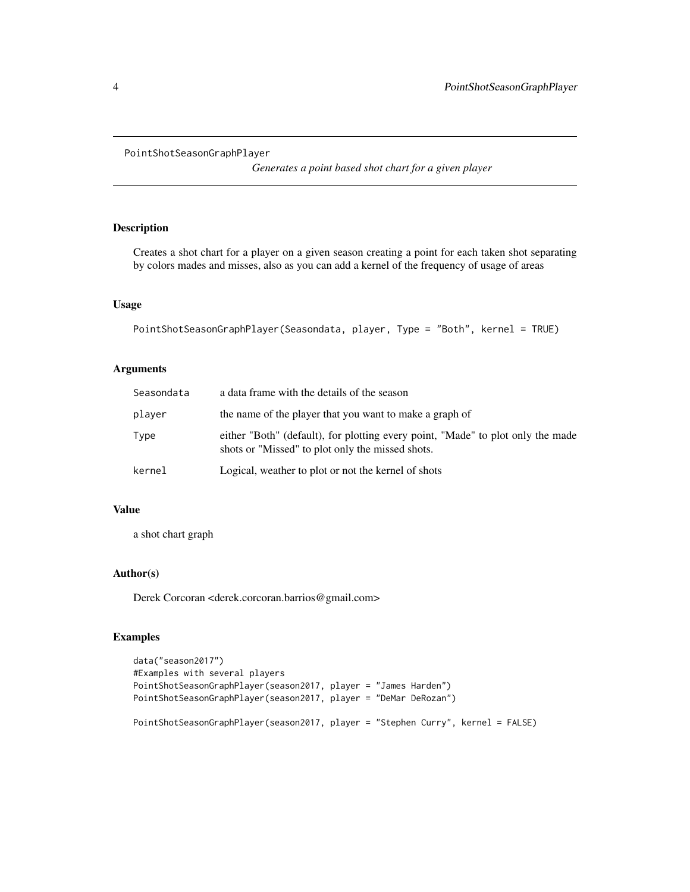```
PointShotSeasonGraphPlayer
```
*Generates a point based shot chart for a given player*

#### Description

Creates a shot chart for a player on a given season creating a point for each taken shot separating by colors mades and misses, also as you can add a kernel of the frequency of usage of areas

#### Usage

```
PointShotSeasonGraphPlayer(Seasondata, player, Type = "Both", kernel = TRUE)
```
#### Arguments

| Seasondata | a data frame with the details of the season                                                                                         |
|------------|-------------------------------------------------------------------------------------------------------------------------------------|
| player     | the name of the player that you want to make a graph of                                                                             |
| Type       | either "Both" (default), for plotting every point, "Made" to plot only the made<br>shots or "Missed" to plot only the missed shots. |
| kernel     | Logical, weather to plot or not the kernel of shots                                                                                 |

#### Value

a shot chart graph

#### Author(s)

Derek Corcoran <derek.corcoran.barrios@gmail.com>

```
data("season2017")
#Examples with several players
PointShotSeasonGraphPlayer(season2017, player = "James Harden")
PointShotSeasonGraphPlayer(season2017, player = "DeMar DeRozan")
PointShotSeasonGraphPlayer(season2017, player = "Stephen Curry", kernel = FALSE)
```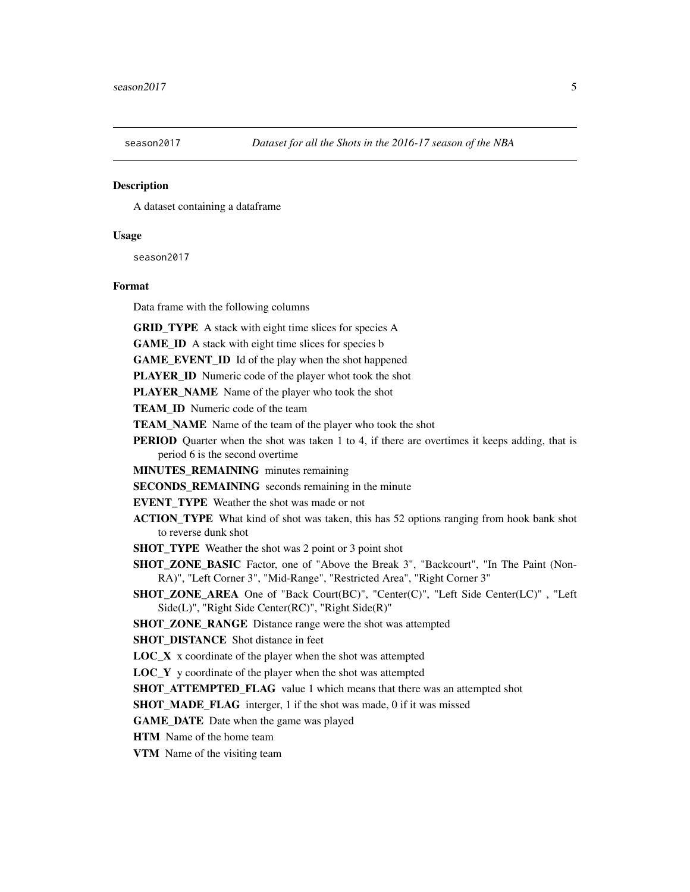<span id="page-4-0"></span>

#### Description

A dataset containing a dataframe

#### Usage

season2017

#### Format

Data frame with the following columns

GRID\_TYPE A stack with eight time slices for species A

GAME\_ID A stack with eight time slices for species b

GAME\_EVENT\_ID Id of the play when the shot happened

PLAYER\_ID Numeric code of the player whot took the shot

PLAYER\_NAME\_Name of the player who took the shot

TEAM ID Numeric code of the team

**TEAM\_NAME** Name of the team of the player who took the shot

**PERIOD** Quarter when the shot was taken 1 to 4, if there are overtimes it keeps adding, that is period 6 is the second overtime

MINUTES\_REMAINING minutes remaining

SECONDS\_REMAINING seconds remaining in the minute

EVENT\_TYPE Weather the shot was made or not

ACTION\_TYPE What kind of shot was taken, this has 52 options ranging from hook bank shot to reverse dunk shot

**SHOT\_TYPE** Weather the shot was 2 point or 3 point shot

SHOT ZONE BASIC Factor, one of "Above the Break 3", "Backcourt", "In The Paint (Non-RA)", "Left Corner 3", "Mid-Range", "Restricted Area", "Right Corner 3"

SHOT\_ZONE\_AREA One of "Back Court(BC)", "Center(C)", "Left Side Center(LC)" , "Left Side(L)", "Right Side Center(RC)", "Right Side(R)"

SHOT\_ZONE\_RANGE Distance range were the shot was attempted

SHOT\_DISTANCE\_Shot distance in feet

 $LOC_X$  x coordinate of the player when the shot was attempted

LOC\_Y y coordinate of the player when the shot was attempted

**SHOT\_ATTEMPTED\_FLAG** value 1 which means that there was an attempted shot

SHOT\_MADE\_FLAG interger, 1 if the shot was made, 0 if it was missed

GAME DATE Date when the game was played

HTM Name of the home team

VTM Name of the visiting team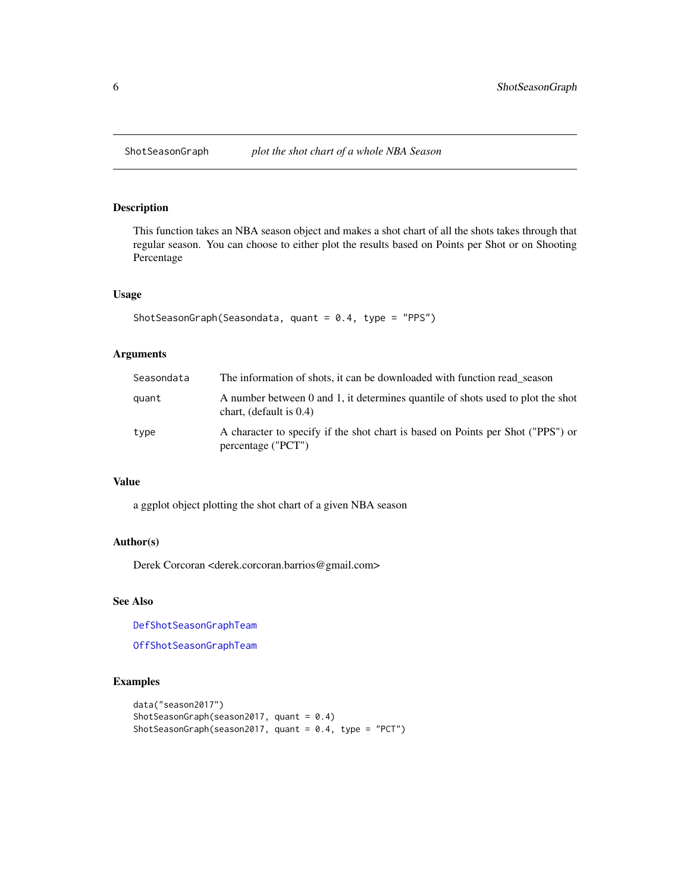#### Description

This function takes an NBA season object and makes a shot chart of all the shots takes through that regular season. You can choose to either plot the results based on Points per Shot or on Shooting Percentage

#### Usage

```
ShotSeasonGraph(Seasondata, quant = 0.4, type = "PPS")
```
#### Arguments

| Seasondata | The information of shots, it can be downloaded with function read season                                      |
|------------|---------------------------------------------------------------------------------------------------------------|
| quant      | A number between 0 and 1, it determines quantile of shots used to plot the shot<br>chart, (default is $0.4$ ) |
| type       | A character to specify if the shot chart is based on Points per Shot ("PPS") or<br>percentage ("PCT")         |

#### Value

a ggplot object plotting the shot chart of a given NBA season

#### Author(s)

Derek Corcoran <derek.corcoran.barrios@gmail.com>

#### See Also

[DefShotSeasonGraphTeam](#page-1-1)

[OffShotSeasonGraphTeam](#page-2-1)

```
data("season2017")
ShotSeasonGraph(season2017, quant = 0.4)
ShotSeasonGraph(season2017, quant = 0.4, type = "PCT")
```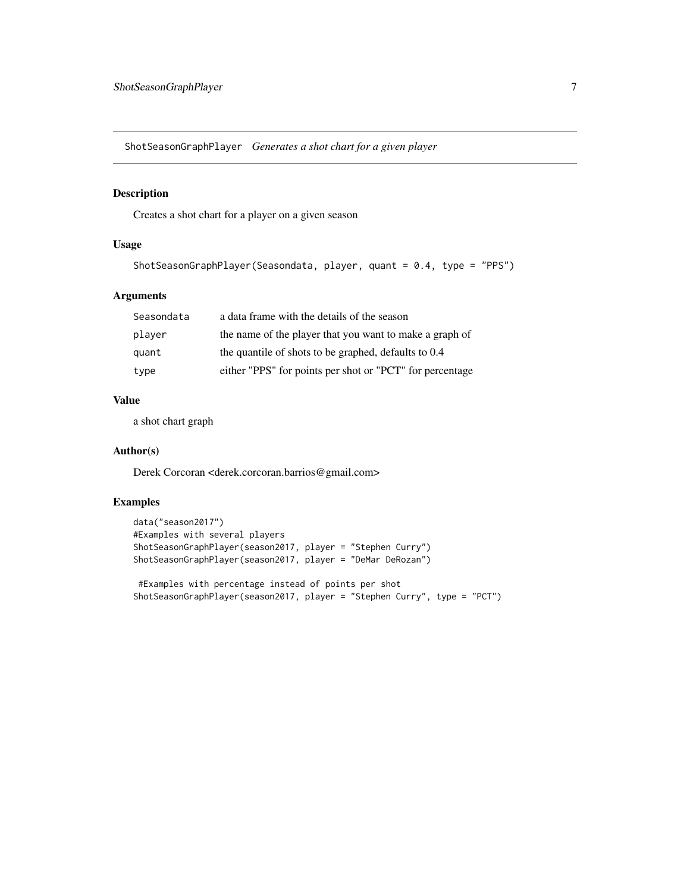<span id="page-6-0"></span>ShotSeasonGraphPlayer *Generates a shot chart for a given player*

#### Description

Creates a shot chart for a player on a given season

#### Usage

```
ShotSeasonGraphPlayer(Seasondata, player, quant = 0.4, type = "PPS")
```
#### Arguments

| Seasondata | a data frame with the details of the season              |
|------------|----------------------------------------------------------|
| player     | the name of the player that you want to make a graph of  |
| quant      | the quantile of shots to be graphed, defaults to 0.4     |
| type       | either "PPS" for points per shot or "PCT" for percentage |

#### Value

a shot chart graph

#### Author(s)

Derek Corcoran <derek.corcoran.barrios@gmail.com>

#### Examples

```
data("season2017")
#Examples with several players
ShotSeasonGraphPlayer(season2017, player = "Stephen Curry")
ShotSeasonGraphPlayer(season2017, player = "DeMar DeRozan")
```
#Examples with percentage instead of points per shot ShotSeasonGraphPlayer(season2017, player = "Stephen Curry", type = "PCT")